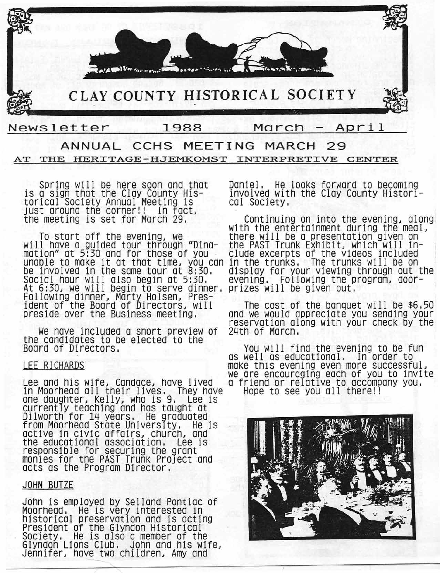CLAY COUNTY HISTORICAL SOCIETY



# Newsletter 1988 March April ANNUAL CCHS MEETING MARCH 29

# AT THE HERITAGE-HJEMKOMST INTERPRETIVE CENTER

torical Society Annual Meeting is cal Society, just around the corner!! In face

will have a guided tour through "Dina- the PAST Trunk Exhibit, which will inmation" at 5:30 and for those of you elude excerpts of the videos included mation" at 5:30 and for those of you . clude excerpts of the videos included<br>unable to make it at that time, you can in the trunks, The trunks will be on Social hour will also begin at 5:30, display for your viewing<br>Social hour will also begin at 5:30, evening, Following the p<br>At 6:30, we will begin to serve dinner, prizes will be given out. At 6:30, we will begin to serve dinner. Following dinner, Marty Holsen, President of the Board of Directors, will The cost of the banquet will be \$6.50

We have included a short preview of the candidates to be elected to the<br>Board of Directors,

### LEE RICHARDS

Lee and his wife, Candace, have lived a friend or relative to accomp<br>in Moorhead all their lives, They have Hope to see you all there!! one daughter, Kelly, who is 9. Lee is currently teaching and has taught at Dilworth for 14 years. He graduated from Moorhead State University. He is active in civic affairs, church, and the educational association. Lee is responsible for securing the grant monies for the PAST Trunk Project and acts as the Program Director.

### JOHN BUTZE

John is employed by Selland Pontiac of Moorhead, He is very interested in historical preservation and is acting President of the Glyndon Historical Society. He is also a member of the Glyndon Lions Club. John and his wife) Jennifer) have two children) Amy and

Spring will be here soon and that Daniel. He looks forward to becoming<br>a sign that the Clay County His- involved with the Clay County Historiis a sign that the Clay County His- involved with the Clay County Historl-

the meeting is set for March 29. Continuing on into the evening, along with the entertainment during the meal, there will be a presentation given on<br>the PAST Trunk Exhibit, which will indisplay for your viewing through out the<br>evening. Following the program, door-

ident of the Board of Directors, will the cost of the banquet will be \$6.50<br>preside over the Business meeting. The would appreciate you sending your reservation along with your check by the<br>24th of March,

You will find the evening to be fun as well as educational, In order to make this evening even more successful, we are encouraging each of you to invite Lee and his wife) Candace) have lived a friend or relative to accompany you.

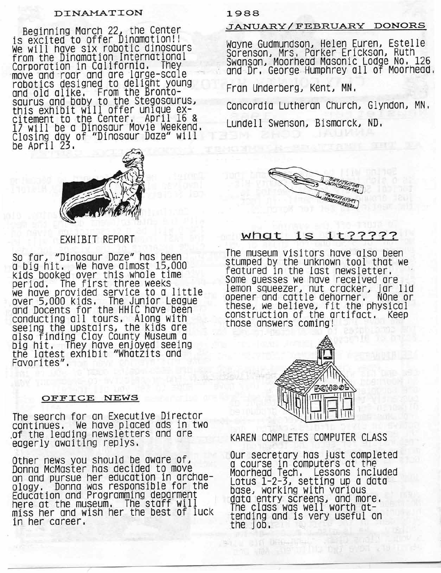### **DINAMATION**

Beginning March 22) the Center is excited to offer Dinamation!! We will have six robotic dinosaurs from the Dinamation International Corporation in California. They -move Qnd-roa~ and are large-scale robotics designed to delight young and old alike. From the Brontosaurus and baby to the Stegosaurus) this exhibit will offer unique ex- $Cit$ ement to the Center, April 16  $\frac{8}{3}$ 17 WIll be a DInosaur Movie Weekend. Closing day of "Dinosaur Daze" will be April 23.



### EXHIBIT REPORT

So far) "Dinosaur Daze" has been a.big hit. We have almost 15)000 kIds booked over this whole time period. The first three weeks we have provided service to a little over 5)000 kids. The Junior League and Docents for the HHIC have been conducting all tours. Along with seeIng the upstairs) the kids are a!so finding Clay County Museum a big hit. They have enjoyed seeing the latest eXhIbIt "Whatzits and Favorites".

#### OFFICE NEWS

The search for an Executive Director continues. We have placed ads in two .of the leading newsletters and are eagerly awaiting replys.

Other news you should be aware of) Donna McMaster has decided to move on and pursue her education in archaeology. Donna was responsible for the Education and Programming deparment here at the museum. The staff will ~iSS her and wish her the best of lUCk In her career.

#### 1988

### JANUARY/FEBRUARY DONORS

Wayne Gudmundson) Helen Euren) Estelle Sorenson) Mrs. Parker Erickson) Ruth Swanson) Moorhead Masonic Lodge No. 126 and Dr. George Humphrey all of Moorhead.

Fran Underberg) Kent) MN.

Concordia Lutheran Church) Glyndon) MN. Lundell Swenson) Bismarck) ND.



# **what** is it?????

The museum visitors have also been stumped by the unknown tool that we featured In the last newsletter. Some guesses we have received are lemon squeezer, nut cracker, jar lid<br>opener and cattle dehorner, NOne or opener and cattle dehorner. these, we believe, fit the physical constructIon of the artifact. Keep those answers coming!



KAREN COMPLETES COMPUTER CLASS

Our secretary has just completed a course In computers at the Moorhead Tech. Lessons included Lotus 1-2-3) setting up a data base) working with various data entry screens) and more. The class was well worth attendtng and is very useful on the Job.

a a a a a bheanna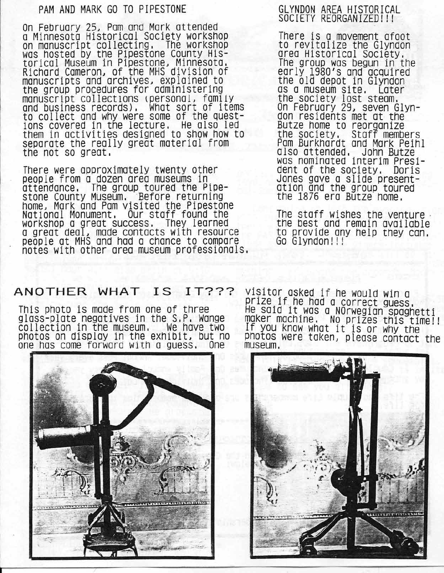## PAM AND MARK GO TO PIPESTONE

On February *25J* Pam and Mark attended a Minnesota Historical Society workshop on manuscript collecting. The workshop was hosted by the Pipestone County Historical Museum in Pipestone, Minnesota, Richard Cameron, of the MHS division of manuscripts and archives, explained to the group procedures for administering manuscript collections (personal, family and business records), What sort of items to collect and why were some of the questions covered in the lecture. He also led them in activities designed to show how to separate the really great material from the not so great,

There were approximately twenty other people from a dozen area museums in attendance, The group toured the Pipestone County Museum. Before returning home, Mark and Pam visited the Pipestone National Monument. Our staff found the workshop a great success. They learned a great dealJ made contacts with resource people at MHS and had a chance to compare notes with other area museum professionals,

## GLYNDON AREA HISTORICAL SOCIETY REORGANIZED! !!

There is a movement afoot to revitalize the Glyndon area Historical Society, The group was begun in the early 1980's and acquired the old depot in Glyndon as a museum site. Later the society lost steam. On February *<sup>291</sup>* seven Glyndon residents met at the Butze home to reorganize the society. Staff members Pam Burkhardt and Mark Peihl also attended. John Butze was nominated interim President of the society. Doris Jones gave a slide presentation and the group toured the 1876 era Butze home.

The staff wishes the venture. the best and remain available to provide any help they can. Go Glyndon!!!

# **ANOTHER WHAT IS IT???**

This photo is made from one of three glass-plate negatives in the S,P. Wange collection in the museum. We have two photos on display in the exhibit, but no<br>one has come forward with a quess, One one has come forward with a guess,



visitor asked if he would win a prlze.lf.he had a correct guess, He saId It was a NOrwegian spaghetti maker machine. No prizes this time!!<br>If you know what it is or why the photos were taken, please contact the museum,